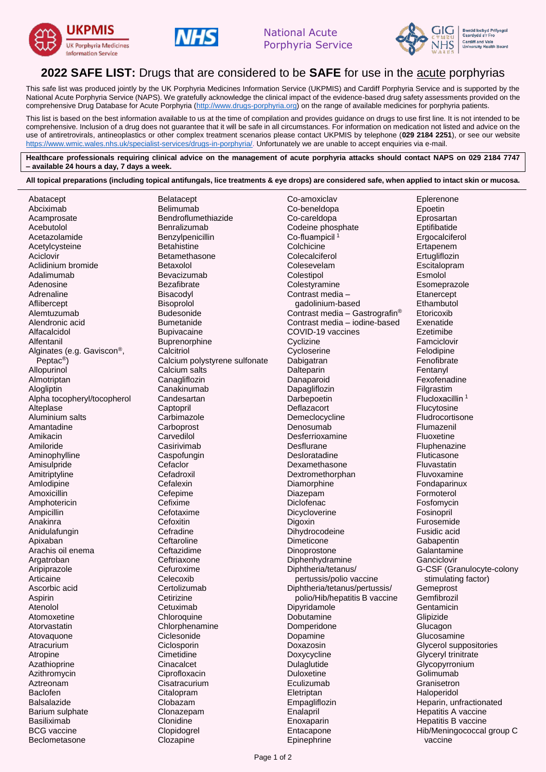





## **2022 SAFE LIST:** Drugs that are considered to be **SAFE** for use in the acute porphyrias

This safe list was produced jointly by the UK Porphyria Medicines Information Service (UKPMIS) and Cardiff Porphyria Service and is supported by the National Acute Porphyria Service (NAPS). We gratefully acknowledge the clinical impact of the evidence-based drug safety assessments provided on the comprehensive Drug Database for Acute Porphyria [\(http://www.drugs-porphyria.org\)](http://www.drugs-porphyria.org/) on the range of available medicines for porphyria patients.

This list is based on the best information available to us at the time of compilation and provides guidance on drugs to use first line. It is not intended to be comprehensive. Inclusion of a drug does not guarantee that it will be safe in all circumstances. For information on medication not listed and advice on the use of antiretrovirals, antineoplastics or other complex treatment scenarios please contact UKPMIS by telephone (**029 2184 2251**), or see our website [https://www.wmic.wales.nhs.uk/specialist-services/drugs-in-porphyria/.](https://www.wmic.wales.nhs.uk/specialist-services/drugs-in-porphyria/) Unfortunately we are unable to accept enquiries via e-mail.

**Healthcare professionals requiring clinical advice on the management of acute porphyria attacks should contact NAPS on 029 2184 7747 – available 24 hours a day, 7 days a week.**

**All topical preparations (including topical antifungals, lice treatments & eye drops) are considered safe, when applied to intact skin or mucosa.**

| Abatacept                   | <b>Belatacept</b>             | Co-amoxiclav                               | Eplerenone                  |
|-----------------------------|-------------------------------|--------------------------------------------|-----------------------------|
| Abciximab                   | <b>Belimumab</b>              | Co-beneldopa                               | Epoetin                     |
| Acamprosate                 | Bendroflumethiazide           | Co-careldopa                               | Eprosartan                  |
| Acebutolol                  | Benralizumab                  | Codeine phosphate                          | Eptifibatide                |
| Acetazolamide               | Benzylpenicillin              | Co-fluampicil <sup>1</sup>                 | Ergocalciferol              |
| Acetylcysteine              | <b>Betahistine</b>            | Colchicine                                 | Ertapenem                   |
| Aciclovir                   | Betamethasone                 | Colecalciferol                             | Ertugliflozin               |
| Aclidinium bromide          | <b>Betaxolol</b>              | Colesevelam                                | Escitalopram                |
| Adalimumab                  | Bevacizumab                   | Colestipol                                 | Esmolol                     |
| Adenosine                   | Bezafibrate                   | Colestyramine                              | Esomeprazole                |
| Adrenaline                  |                               | Contrast media -                           |                             |
|                             | Bisacodyl                     |                                            | Etanercept                  |
| Aflibercept                 | Bisoprolol                    | gadolinium-based                           | Ethambutol                  |
| Alemtuzumab                 | <b>Budesonide</b>             | Contrast media - Gastrografin <sup>®</sup> | Etoricoxib                  |
| Alendronic acid             | <b>Bumetanide</b>             | Contrast media - iodine-based              | Exenatide                   |
| Alfacalcidol                | <b>Bupivacaine</b>            | COVID-19 vaccines                          | Ezetimibe                   |
| Alfentanil                  | Buprenorphine                 | Cyclizine                                  | Famciclovir                 |
| Alginates (e.g. Gaviscon®,  | Calcitriol                    | Cycloserine                                | Felodipine                  |
| Peptac <sup>®</sup> )       | Calcium polystyrene sulfonate | Dabigatran                                 | Fenofibrate                 |
| Allopurinol                 | Calcium salts                 | Dalteparin                                 | Fentanyl                    |
| Almotriptan                 | Canagliflozin                 | Danaparoid                                 | Fexofenadine                |
| Alogliptin                  | Canakinumab                   | Dapagliflozin                              | Filgrastim                  |
| Alpha tocopheryl/tocopherol | Candesartan                   | Darbepoetin                                | Flucloxacillin <sup>1</sup> |
| Alteplase                   | Captopril                     | Deflazacort                                | Flucytosine                 |
| Aluminium salts             | Carbimazole                   | Demeclocycline                             | Fludrocortisone             |
| Amantadine                  | Carboprost                    | Denosumab                                  | Flumazenil                  |
| Amikacin                    | Carvedilol                    | Desferrioxamine                            | Fluoxetine                  |
| Amiloride                   | Casirivimab                   | Desflurane                                 | Fluphenazine                |
| Aminophylline               | Caspofungin                   | Desloratadine                              | Fluticasone                 |
| Amisulpride                 | Cefaclor                      | Dexamethasone                              | Fluvastatin                 |
|                             | Cefadroxil                    | Dextromethorphan                           | Fluvoxamine                 |
| Amitriptyline               | Cefalexin                     |                                            |                             |
| Amlodipine                  |                               | Diamorphine                                | Fondaparinux                |
| Amoxicillin                 | Cefepime                      | Diazepam                                   | Formoterol                  |
| Amphotericin                | Cefixime                      | Diclofenac                                 | Fosfomycin                  |
| Ampicillin                  | Cefotaxime                    | Dicycloverine                              | Fosinopril                  |
| Anakinra                    | Cefoxitin                     | Digoxin                                    | Furosemide                  |
| Anidulafungin               | Cefradine                     | Dihydrocodeine                             | Fusidic acid                |
| Apixaban                    | Ceftaroline                   | Dimeticone                                 | Gabapentin                  |
| Arachis oil enema           | Ceftazidime                   | Dinoprostone                               | Galantamine                 |
| Argatroban                  | Ceftriaxone                   | Diphenhydramine                            | Ganciclovir                 |
| Aripiprazole                | Cefuroxime                    | Diphtheria/tetanus/                        | G-CSF (Granulocyte-colony   |
| Articaine                   | Celecoxib                     | pertussis/polio vaccine                    | stimulating factor)         |
| Ascorbic acid               | Certolizumab                  | Diphtheria/tetanus/pertussis/              | Gemeprost                   |
| Aspirin                     | Cetirizine                    | polio/Hib/hepatitis B vaccine              | Gemfibrozil                 |
| Atenolol                    | Cetuximab                     | Dipyridamole                               | Gentamicin                  |
| Atomoxetine                 | Chloroquine                   | Dobutamine                                 | Glipizide                   |
| Atorvastatin                | Chlorphenamine                | Domperidone                                | Glucagon                    |
| Atovaquone                  | Ciclesonide                   | Dopamine                                   | Glucosamine                 |
| Atracurium                  | Ciclosporin                   | Doxazosin                                  | Glycerol suppositories      |
| Atropine                    | Cimetidine                    | Doxycycline                                | Glyceryl trinitrate         |
| Azathioprine                | Cinacalcet                    | Dulaglutide                                | Glycopyrronium              |
| Azithromycin                | Ciprofloxacin                 | <b>Duloxetine</b>                          | Golimumab                   |
| Aztreonam                   | Cisatracurium                 | Eculizumab                                 | Granisetron                 |
| <b>Baclofen</b>             | Citalopram                    | Eletriptan                                 | Haloperidol                 |
| <b>Balsalazide</b>          | Clobazam                      |                                            | Heparin, unfractionated     |
|                             |                               | Empagliflozin                              |                             |
| Barium sulphate             | Clonazepam                    | Enalapril                                  | Hepatitis A vaccine         |
| Basiliximab                 | Clonidine                     | Enoxaparin                                 | Hepatitis B vaccine         |
| <b>BCG</b> vaccine          | Clopidogrel                   | Entacapone                                 | Hib/Meningococcal group C   |
| Beclometasone               | Clozapine                     | Epinephrine                                | vaccine                     |
|                             |                               |                                            |                             |